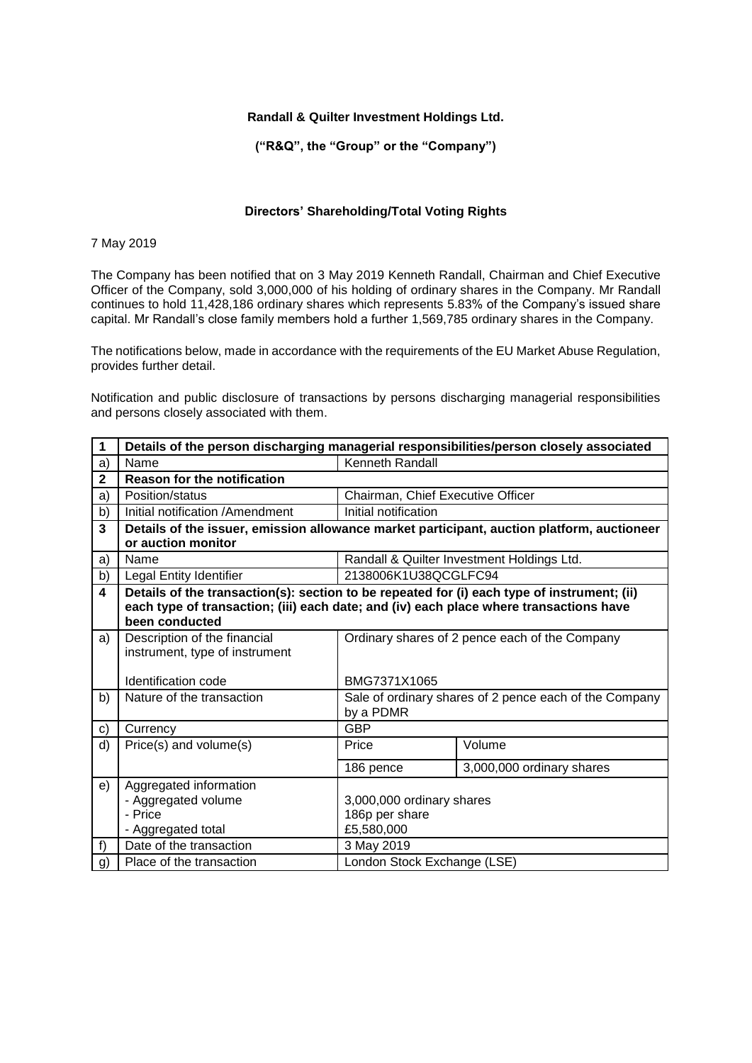## **Randall & Quilter Investment Holdings Ltd.**

**("R&Q", the "Group" or the "Company")**

## **Directors' Shareholding/Total Voting Rights**

7 May 2019

The Company has been notified that on 3 May 2019 Kenneth Randall, Chairman and Chief Executive Officer of the Company, sold 3,000,000 of his holding of ordinary shares in the Company. Mr Randall continues to hold 11,428,186 ordinary shares which represents 5.83% of the Company's issued share capital. Mr Randall's close family members hold a further 1,569,785 ordinary shares in the Company.

The notifications below, made in accordance with the requirements of the EU Market Abuse Regulation, provides further detail.

Notification and public disclosure of transactions by persons discharging managerial responsibilities and persons closely associated with them.

| 1              | Details of the person discharging managerial responsibilities/person closely associated                                                                                                                 |                                                           |                                                        |  |  |
|----------------|---------------------------------------------------------------------------------------------------------------------------------------------------------------------------------------------------------|-----------------------------------------------------------|--------------------------------------------------------|--|--|
| a)             | Name                                                                                                                                                                                                    | Kenneth Randall                                           |                                                        |  |  |
| $\overline{2}$ | <b>Reason for the notification</b>                                                                                                                                                                      |                                                           |                                                        |  |  |
| a)             | Position/status                                                                                                                                                                                         | Chairman, Chief Executive Officer                         |                                                        |  |  |
| b)             | Initial notification / Amendment                                                                                                                                                                        | Initial notification                                      |                                                        |  |  |
| 3              | Details of the issuer, emission allowance market participant, auction platform, auctioneer<br>or auction monitor                                                                                        |                                                           |                                                        |  |  |
| a)             | Name                                                                                                                                                                                                    |                                                           | Randall & Quilter Investment Holdings Ltd.             |  |  |
| b)             | Legal Entity Identifier                                                                                                                                                                                 | 2138006K1U38QCGLFC94                                      |                                                        |  |  |
| 4              | Details of the transaction(s): section to be repeated for (i) each type of instrument; (ii)<br>each type of transaction; (iii) each date; and (iv) each place where transactions have<br>been conducted |                                                           |                                                        |  |  |
| a)             | Description of the financial<br>instrument, type of instrument                                                                                                                                          | Ordinary shares of 2 pence each of the Company            |                                                        |  |  |
|                | Identification code                                                                                                                                                                                     | BMG7371X1065                                              |                                                        |  |  |
| b)             | Nature of the transaction                                                                                                                                                                               | by a PDMR                                                 | Sale of ordinary shares of 2 pence each of the Company |  |  |
| c)             | Currency                                                                                                                                                                                                | <b>GBP</b>                                                |                                                        |  |  |
| d)             | Price(s) and volume(s)                                                                                                                                                                                  | Price                                                     | Volume                                                 |  |  |
|                |                                                                                                                                                                                                         | 186 pence                                                 | 3,000,000 ordinary shares                              |  |  |
| e)             | Aggregated information<br>- Aggregated volume<br>- Price<br>- Aggregated total                                                                                                                          | 3,000,000 ordinary shares<br>186p per share<br>£5,580,000 |                                                        |  |  |
| f)             | Date of the transaction                                                                                                                                                                                 | 3 May 2019                                                |                                                        |  |  |
| g)             | Place of the transaction                                                                                                                                                                                | London Stock Exchange (LSE)                               |                                                        |  |  |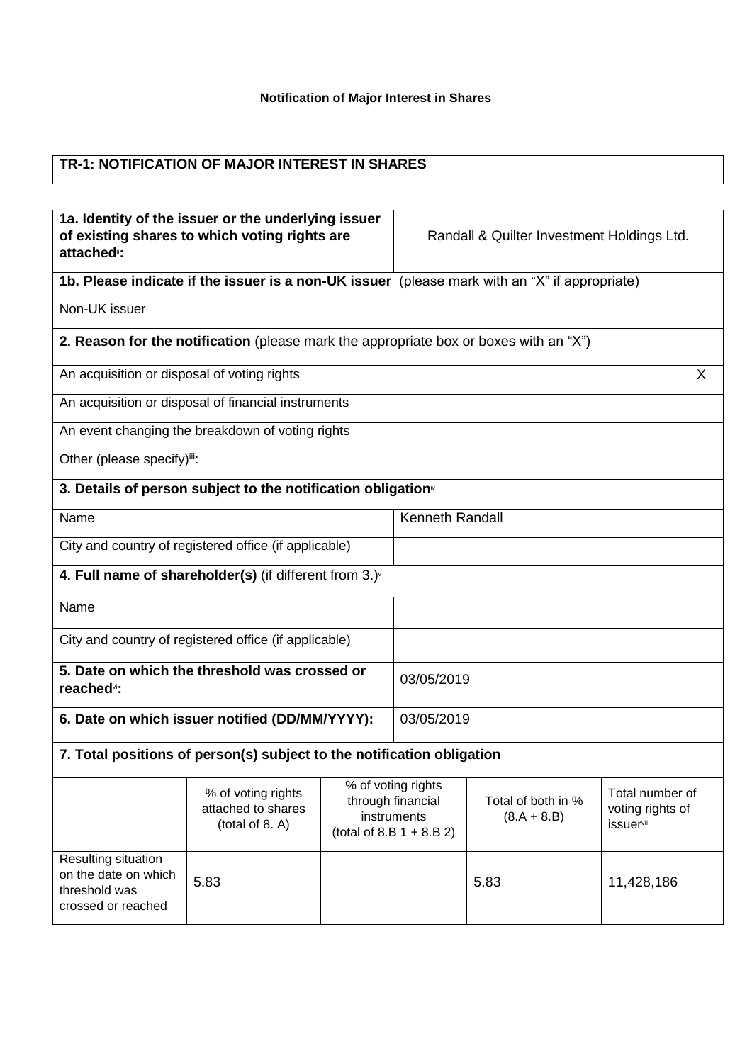# **TR-1: NOTIFICATION OF MAJOR INTEREST IN SHARES**

| attached <sup>®</sup> :                                                            | 1a. Identity of the issuer or the underlying issuer<br>of existing shares to which voting rights are | Randall & Quilter Investment Holdings Ltd. |                                                                                       |                                     |                                                                     |   |
|------------------------------------------------------------------------------------|------------------------------------------------------------------------------------------------------|--------------------------------------------|---------------------------------------------------------------------------------------|-------------------------------------|---------------------------------------------------------------------|---|
|                                                                                    | 1b. Please indicate if the issuer is a non-UK issuer (please mark with an "X" if appropriate)        |                                            |                                                                                       |                                     |                                                                     |   |
| Non-UK issuer                                                                      |                                                                                                      |                                            |                                                                                       |                                     |                                                                     |   |
|                                                                                    | 2. Reason for the notification (please mark the appropriate box or boxes with an "X")                |                                            |                                                                                       |                                     |                                                                     |   |
| An acquisition or disposal of voting rights                                        |                                                                                                      |                                            |                                                                                       |                                     |                                                                     | X |
|                                                                                    | An acquisition or disposal of financial instruments                                                  |                                            |                                                                                       |                                     |                                                                     |   |
|                                                                                    | An event changing the breakdown of voting rights                                                     |                                            |                                                                                       |                                     |                                                                     |   |
| Other (please specify)iii:                                                         |                                                                                                      |                                            |                                                                                       |                                     |                                                                     |   |
|                                                                                    | 3. Details of person subject to the notification obligation <sup>®</sup>                             |                                            |                                                                                       |                                     |                                                                     |   |
| Name                                                                               |                                                                                                      |                                            | <b>Kenneth Randall</b>                                                                |                                     |                                                                     |   |
|                                                                                    | City and country of registered office (if applicable)                                                |                                            |                                                                                       |                                     |                                                                     |   |
|                                                                                    | 4. Full name of shareholder(s) (if different from $3.$ ) $\sqrt{ }$                                  |                                            |                                                                                       |                                     |                                                                     |   |
|                                                                                    |                                                                                                      |                                            |                                                                                       |                                     |                                                                     |   |
| Name                                                                               |                                                                                                      |                                            |                                                                                       |                                     |                                                                     |   |
|                                                                                    | City and country of registered office (if applicable)                                                |                                            |                                                                                       |                                     |                                                                     |   |
| reached <sup>vi</sup> :                                                            | 5. Date on which the threshold was crossed or                                                        |                                            | 03/05/2019                                                                            |                                     |                                                                     |   |
|                                                                                    | 6. Date on which issuer notified (DD/MM/YYYY):                                                       |                                            | 03/05/2019                                                                            |                                     |                                                                     |   |
| 7. Total positions of person(s) subject to the notification obligation             |                                                                                                      |                                            |                                                                                       |                                     |                                                                     |   |
|                                                                                    | % of voting rights<br>attached to shares<br>(total of 8. A)                                          |                                            | % of voting rights<br>through financial<br>instruments<br>(total of 8.B $1 + 8.B 2$ ) | Total of both in %<br>$(8.A + 8.B)$ | Total number of<br>voting rights of<br><i>issuer</i> <sup>vii</sup> |   |
| Resulting situation<br>on the date on which<br>threshold was<br>crossed or reached | 5.83                                                                                                 |                                            |                                                                                       | 5.83                                | 11,428,186                                                          |   |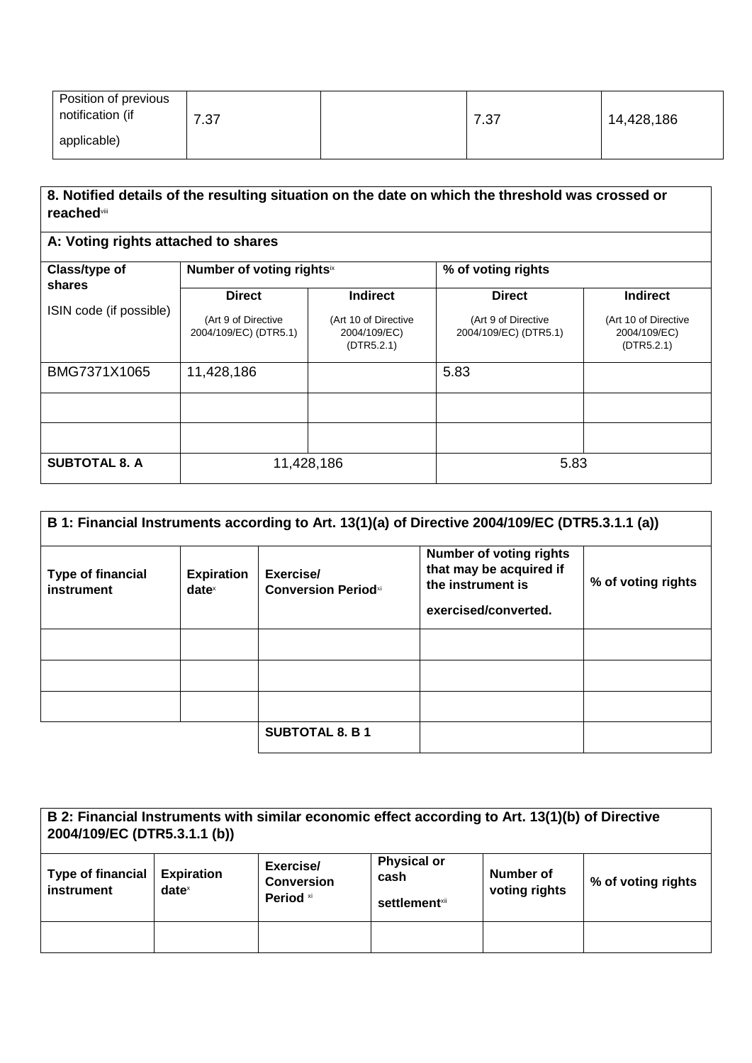| Position of previous<br>notification (if | 7.37 | 7.37 | 14,428,186 |
|------------------------------------------|------|------|------------|
| applicable)                              |      |      |            |

# **8. Notified details of the resulting situation on the date on which the threshold was crossed or reached**viii

| A: Voting rights attached to shares |                                              |                                                    |                                              |                                                    |  |  |
|-------------------------------------|----------------------------------------------|----------------------------------------------------|----------------------------------------------|----------------------------------------------------|--|--|
| Class/type of<br>shares             | Number of voting rightsix                    |                                                    | % of voting rights                           |                                                    |  |  |
|                                     | <b>Direct</b>                                | <b>Indirect</b>                                    | <b>Direct</b>                                | <b>Indirect</b>                                    |  |  |
| ISIN code (if possible)             | (Art 9 of Directive<br>2004/109/EC) (DTR5.1) | (Art 10 of Directive<br>2004/109/EC)<br>(DTR5.2.1) | (Art 9 of Directive<br>2004/109/EC) (DTR5.1) | (Art 10 of Directive<br>2004/109/EC)<br>(DTR5.2.1) |  |  |
| BMG7371X1065                        | 11,428,186                                   |                                                    | 5.83                                         |                                                    |  |  |
|                                     |                                              |                                                    |                                              |                                                    |  |  |
|                                     |                                              |                                                    |                                              |                                                    |  |  |
| <b>SUBTOTAL 8. A</b>                | 11,428,186                                   |                                                    | 5.83                                         |                                                    |  |  |

| B 1: Financial Instruments according to Art. 13(1)(a) of Directive 2004/109/EC (DTR5.3.1.1 (a)) |                                        |                                         |                                                                                                        |                    |  |  |
|-------------------------------------------------------------------------------------------------|----------------------------------------|-----------------------------------------|--------------------------------------------------------------------------------------------------------|--------------------|--|--|
| <b>Type of financial</b><br>instrument                                                          | <b>Expiration</b><br>date <sup>x</sup> | Exercise/<br><b>Conversion Periodxi</b> | <b>Number of voting rights</b><br>that may be acquired if<br>the instrument is<br>exercised/converted. | % of voting rights |  |  |
|                                                                                                 |                                        |                                         |                                                                                                        |                    |  |  |
|                                                                                                 |                                        |                                         |                                                                                                        |                    |  |  |
|                                                                                                 |                                        |                                         |                                                                                                        |                    |  |  |
|                                                                                                 |                                        | <b>SUBTOTAL 8. B 1</b>                  |                                                                                                        |                    |  |  |

**B 2: Financial Instruments with similar economic effect according to Art. 13(1)(b) of Directive 2004/109/EC (DTR5.3.1.1 (b))**

| <b>Type of financial</b><br><b>instrument</b> | <b>Expiration</b><br>date <sup>x</sup> | Exercise/<br><b>Conversion</b><br>Period xi | <b>Physical or</b><br>cash<br><b>settlement</b> <sup>xii</sup> | Number of<br>voting rights | % of voting rights |
|-----------------------------------------------|----------------------------------------|---------------------------------------------|----------------------------------------------------------------|----------------------------|--------------------|
|                                               |                                        |                                             |                                                                |                            |                    |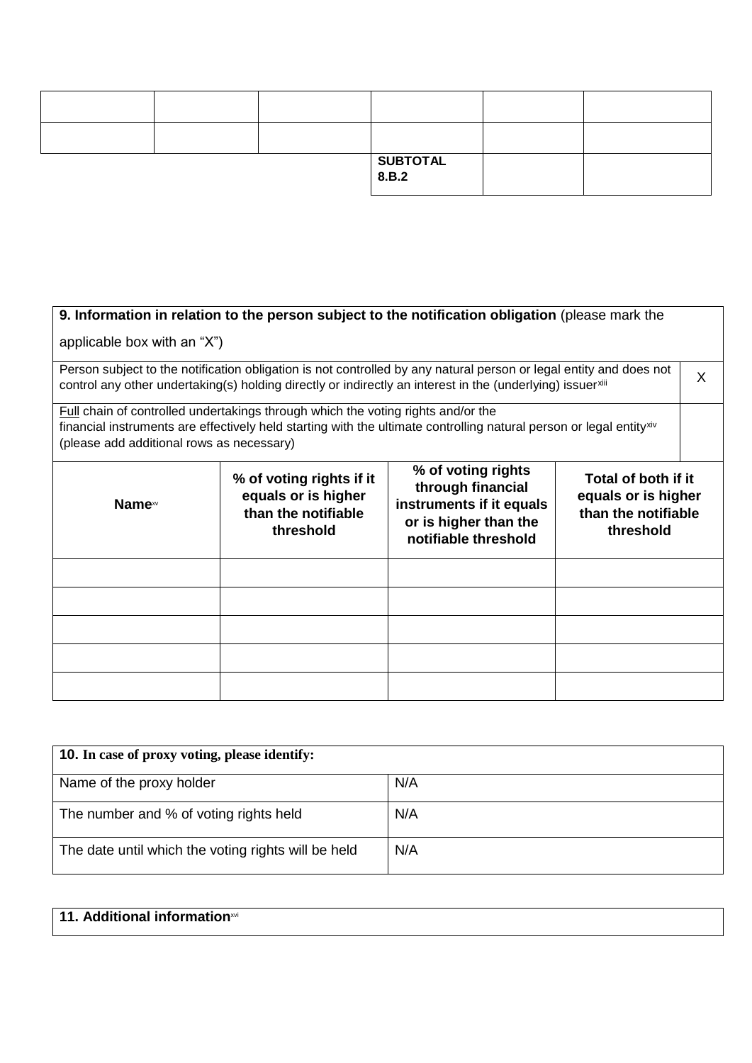|  | <b>SUBTOTAL</b><br>  8.B.2 |  |
|--|----------------------------|--|

| 9. Information in relation to the person subject to the notification obligation (please mark the                                                                                                                                                     |                                                                                                                                                                                                                                                                                               |                                                                                                                                                                                                                                  |  |   |  |  |
|------------------------------------------------------------------------------------------------------------------------------------------------------------------------------------------------------------------------------------------------------|-----------------------------------------------------------------------------------------------------------------------------------------------------------------------------------------------------------------------------------------------------------------------------------------------|----------------------------------------------------------------------------------------------------------------------------------------------------------------------------------------------------------------------------------|--|---|--|--|
| applicable box with an "X")                                                                                                                                                                                                                          |                                                                                                                                                                                                                                                                                               |                                                                                                                                                                                                                                  |  |   |  |  |
|                                                                                                                                                                                                                                                      |                                                                                                                                                                                                                                                                                               | Person subject to the notification obligation is not controlled by any natural person or legal entity and does not<br>control any other undertaking(s) holding directly or indirectly an interest in the (underlying) issuerxili |  | X |  |  |
| Full chain of controlled undertakings through which the voting rights and/or the<br>financial instruments are effectively held starting with the ultimate controlling natural person or legal entityxiv<br>(please add additional rows as necessary) |                                                                                                                                                                                                                                                                                               |                                                                                                                                                                                                                                  |  |   |  |  |
| <b>Name</b> <sup><i>w</i></sup>                                                                                                                                                                                                                      | % of voting rights<br>% of voting rights if it<br>Total of both if it<br>through financial<br>equals or is higher<br>equals or is higher<br>instruments if it equals<br>than the notifiable<br>than the notifiable<br>or is higher than the<br>threshold<br>threshold<br>notifiable threshold |                                                                                                                                                                                                                                  |  |   |  |  |
|                                                                                                                                                                                                                                                      |                                                                                                                                                                                                                                                                                               |                                                                                                                                                                                                                                  |  |   |  |  |
|                                                                                                                                                                                                                                                      |                                                                                                                                                                                                                                                                                               |                                                                                                                                                                                                                                  |  |   |  |  |
|                                                                                                                                                                                                                                                      |                                                                                                                                                                                                                                                                                               |                                                                                                                                                                                                                                  |  |   |  |  |
|                                                                                                                                                                                                                                                      |                                                                                                                                                                                                                                                                                               |                                                                                                                                                                                                                                  |  |   |  |  |
|                                                                                                                                                                                                                                                      |                                                                                                                                                                                                                                                                                               |                                                                                                                                                                                                                                  |  |   |  |  |

| <b>10.</b> In case of proxy voting, please identify: |     |  |  |  |
|------------------------------------------------------|-----|--|--|--|
| Name of the proxy holder                             | N/A |  |  |  |
| The number and % of voting rights held               | N/A |  |  |  |
| The date until which the voting rights will be held  | N/A |  |  |  |

# **11. Additional information**xvi